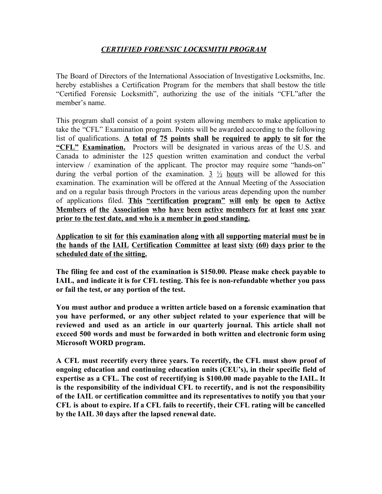# *CERTIFIED FORENSIC LOCKSMITH PROGRAM*

The Board of Directors of the International Association of Investigative Locksmiths, Inc. hereby establishes a Certification Program for the members that shall bestow the title "Certified Forensic Locksmith", authorizing the use of the initials "CFL"after the member's name.

This program shall consist of a point system allowing members to make application to take the "CFL" Examination program. Points will be awarded according to the following list of qualifications. **A total of 75 points shall be required to apply to sit for the "CFL" Examination.** Proctors will be designated in various areas of the U.S. and Canada to administer the 125 question written examination and conduct the verbal interview / examination of the applicant. The proctor may require some "hands-on" during the verbal portion of the examination.  $3\frac{1}{2}$  hours will be allowed for this examination. The examination will be offered at the Annual Meeting of the Association and on a regular basis through Proctors in the various areas depending upon the number of applications filed. **This "certification program" will only be open to Active Members of the Association who have been active members for at least one year prior to the test date, and who is a member in good standing.**

**Application to sit for this examination along with all supporting material must be in the hands of the IAIL Certification Committee at least sixty (60) days prior to the scheduled date of the sitting.**

**The filing fee and cost of the examination is \$150.00. Please make check payable to IAIL, and indicate it is for CFL testing. This fee is non-refundable whether you pass or fail the test, or any portion of the test.**

**You must author and produce a written article based on a forensic examination that you have performed, or any other subject related to your experience that will be reviewed and used as an article in our quarterly journal. This article shall not exceed 500 words and must be forwarded in both written and electronic form using Microsoft WORD program.**

**A CFL must recertify every three years. To recertify, the CFL must show proof of ongoing education and continuing education units (CEU's), in their specific field of expertise as a CFL. The cost of recertifying is \$100.00 made payable to the IAIL. It is the responsibility of the individual CFL to recertify, and is not the responsibility of the IAIL or certification committee and its representatives to notify you that your CFL is about to expire. If a CFL fails to recertify, their CFL rating will be cancelled by the IAIL 30 days after the lapsed renewal date.**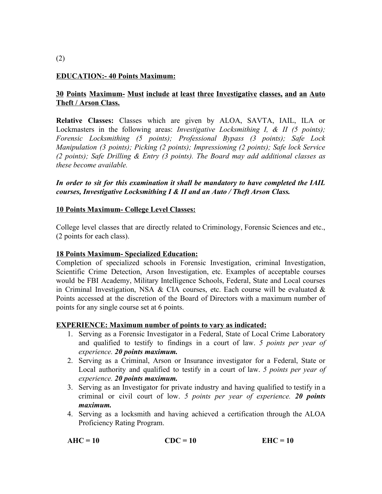## **EDUCATION:- 40 Points Maximum:**

## **30 Points Maximum- Must include at least three Investigative classes, and an Auto Theft / Arson Class.**

**Relative Classes:** Classes which are given by ALOA, SAVTA, IAIL, ILA or Lockmasters in the following areas: *Investigative Locksmithing I, & II (5 points); Forensic Locksmithing (5 points); Professional Bypass (3 points); Safe Lock Manipulation (3 points); Picking (2 points); Impressioning (2 points); Safe lock Service (2 points); Safe Drilling & Entry (3 points). The Board may add additional classes as these become available.*

### *In order to sit for this examination it shall be mandatory to have completed the IAIL courses, Investigative Locksmithing I & II and an Auto / Theft Arson Class.*

### **10 Points Maximum- College Level Classes:**

College level classes that are directly related to Criminology, Forensic Sciences and etc., (2 points for each class).

### **18 Points Maximum- Specialized Education:**

Completion of specialized schools in Forensic Investigation, criminal Investigation, Scientific Crime Detection, Arson Investigation, etc. Examples of acceptable courses would be FBI Academy, Military Intelligence Schools, Federal, State and Local courses in Criminal Investigation, NSA & CIA courses, etc. Each course will be evaluated  $\&$ Points accessed at the discretion of the Board of Directors with a maximum number of points for any single course set at 6 points.

### **EXPERIENCE: Maximum number of points to vary as indicated:**

- 1. Serving as a Forensic Investigator in a Federal, State of Local Crime Laboratory and qualified to testify to findings in a court of law. *5 points per year of experience. 20 points maximum.*
- 2. Serving as a Criminal, Arson or Insurance investigator for a Federal, State or Local authority and qualified to testify in a court of law. *5 points per year of experience. 20 points maximum.*
- 3. Serving as an Investigator for private industry and having qualified to testify in a criminal or civil court of low. *5 points per year of experience. 20 points maximum.*
- 4. Serving as a locksmith and having achieved a certification through the ALOA Proficiency Rating Program.

$$
AHC = 10 \t\t CDC = 10 \t\t EHC = 10
$$

#### (2)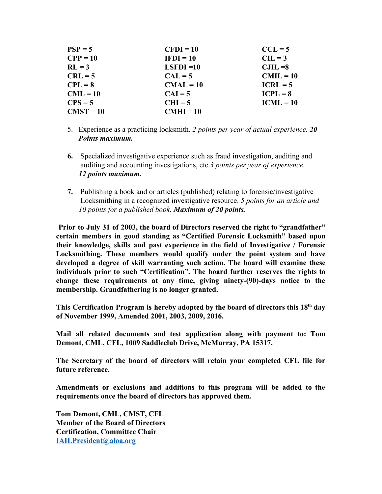| $PSP = 5$   | $CFDI = 10$  | $CCL = 5$   |
|-------------|--------------|-------------|
| $CPP = 10$  | $IFDI = 10$  | $CL = 3$    |
| $RL = 3$    | $LSFDI = 10$ | $CJIL = 8$  |
| $CRL = 5$   | $CAL = 5$    | $CMIL = 10$ |
| $CPL = 8$   | $CMAL = 10$  | $ICRL = 5$  |
| $CML = 10$  | $CAI = 5$    | $ICPL = 8$  |
| $CPS = 5$   | $CHI = 5$    | $ICML = 10$ |
| $CMST = 10$ | $CMHI = 10$  |             |

- 5. Experience as a practicing locksmith. *2 points per year of actual experience. 20 Points maximum.*
- **6.** Specialized investigative experience such as fraud investigation, auditing and auditing and accounting investigations, etc.*3 points per year of experience. 12 points maximum.*
- **7.** Publishing a book and or articles (published) relating to forensic/investigative Locksmithing in a recognized investigative resource. *5 points for an article and 10 points for a published book. Maximum of 20 points.*

**Prior to July 31 of 2003, the board of Directors reserved the right to "grandfather" certain members in good standing as "Certified Forensic Locksmith" based upon their knowledge, skills and past experience in the field of Investigative / Forensic Locksmithing. These members would qualify under the point system and have developed a degree of skill warranting such action. The board will examine these individuals prior to such "Certification". The board further reserves the rights to change these requirements at any time, giving ninety-(90)-days notice to the membership. Grandfathering is no longer granted.**

**This Certification Program is hereby adopted by the board of directors this 18 th day of November 1999, Amended 2001, 2003, 2009, 2016.**

**Mail all related documents and test application along with payment to: Tom Demont, CML, CFL, 1009 Saddleclub Drive, McMurray, PA 15317.**

**The Secretary of the board of directors will retain your completed CFL file for future reference.**

**Amendments or exclusions and additions to this program will be added to the requirements once the board of directors has approved them.**

**Tom Demont, CML, CMST, CFL Member of the Board of Directors Certification, Committee Chair [IAILPresident@aloa.org](mailto:IAILPresident@aloa.org)**